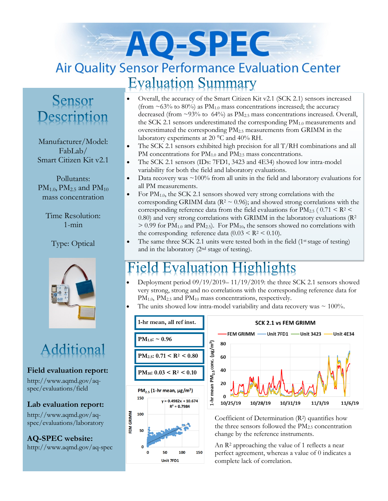# AO-SPEC **Air Quality Sensor Performance Evaluation Center Evaluation Summary**

## Sensor Description

Manufacturer/Model: FabLab/ Smart Citizen Kit v2.1

Pollutants:  $PM_{1.0}$ ,  $PM_{2.5}$  and  $PM_{10}$ mass concentration

Time Resolution: 1-min

## Type: Optical



## Additional

## **Field evaluation report:**

http://www.aqmd.gov/aqspec/evaluations/field

#### **Lab evaluation report:**

http://www.aqmd.gov/aqspec/evaluations/laboratory

**AQ-SPEC website:**  http://www.aqmd.gov/aq-spec

- Overall, the accuracy of the Smart Citizen Kit v2.1 (SCK 2.1) sensors increased (from  $\sim$  63% to 80%) as PM<sub>1.0</sub> mass concentrations increased; the accuracy decreased (from  $\sim$ 93% to 64%) as PM<sub>2.5</sub> mass concentrations increased. Overall, the SCK 2.1 sensors underestimated the corresponding  $PM<sub>1.0</sub>$  measurements and overestimated the corresponding PM2.5 measurements from GRIMM in the laboratory experiments at 20  $^{\circ}$ C and 40% RH.
- The SCK 2.1 sensors exhibited high precision for all T/RH combinations and all PM concentrations for PM<sub>1.0</sub> and PM<sub>2.5</sub> mass concentrations.
- The SCK 2.1 sensors (IDs: 7FD1, 3423 and 4E34) showed low intra-model variability for both the field and laboratory evaluations.
- Data recovery was  $\sim 100\%$  from all units in the field and laboratory evaluations for all PM measurements.
- For PM<sub>1.0</sub>, the SCK 2.1 sensors showed very strong correlations with the corresponding GRIMM data ( $R^2 \sim 0.96$ ); and showed strong correlations with the corresponding reference data from the field evaluations for  $PM_{2.5}$  (  $0.71 < R^2 <$ 0.80) and very strong correlations with GRIMM in the laboratory evaluations  $(R<sup>2</sup>$  $> 0.99$  for PM<sub>1.0</sub> and PM<sub>2.5</sub>). For PM<sub>10</sub>, the sensors showed no correlations with the corresponding reference data  $(0.03 \leq R^2 \leq 0.10)$ .
- The same three SCK 2.1 units were tested both in the field  $(1<sup>st</sup> stage of testing)$ and in the laboratory (2nd stage of testing).

#### **Evaluation Highlights**  $e<sub>l</sub>$

- Deployment period 09/19/2019– 11/19/2019: the three SCK 2.1 sensors showed very strong, strong and no correlations with the corresponding reference data for PM<sub>1.0</sub>, PM<sub>2.5</sub> and PM<sub>10</sub> mass concentrations, respectively.
- The units showed low intra-model variability and data recovery was  $\sim 100\%$ .





Coefficient of Determination (R2) quantifies how the three sensors followed the  $PM<sub>2.5</sub>$  concentration change by the reference instruments.

An R<sup>2</sup> approaching the value of 1 reflects a near perfect agreement, whereas a value of 0 indicates a complete lack of correlation.